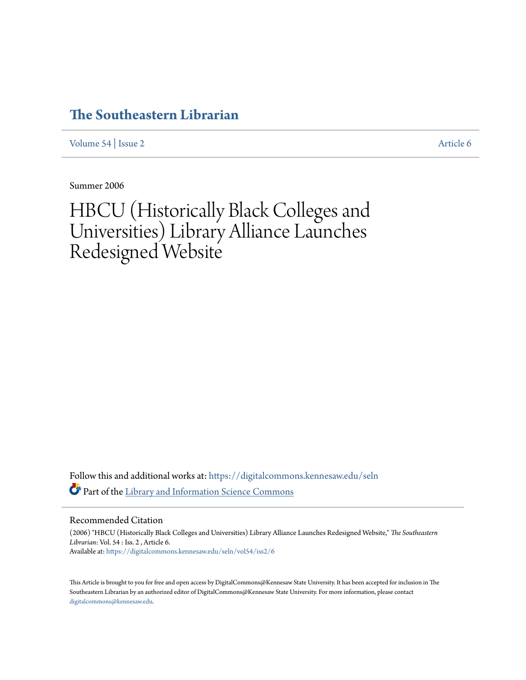## **[The Southeastern Librarian](https://digitalcommons.kennesaw.edu/seln?utm_source=digitalcommons.kennesaw.edu%2Fseln%2Fvol54%2Fiss2%2F6&utm_medium=PDF&utm_campaign=PDFCoverPages)**

[Volume 54](https://digitalcommons.kennesaw.edu/seln/vol54?utm_source=digitalcommons.kennesaw.edu%2Fseln%2Fvol54%2Fiss2%2F6&utm_medium=PDF&utm_campaign=PDFCoverPages) | [Issue 2](https://digitalcommons.kennesaw.edu/seln/vol54/iss2?utm_source=digitalcommons.kennesaw.edu%2Fseln%2Fvol54%2Fiss2%2F6&utm_medium=PDF&utm_campaign=PDFCoverPages) [Article 6](https://digitalcommons.kennesaw.edu/seln/vol54/iss2/6?utm_source=digitalcommons.kennesaw.edu%2Fseln%2Fvol54%2Fiss2%2F6&utm_medium=PDF&utm_campaign=PDFCoverPages)

Summer 2006

# HBCU (Historically Black Colleges and Universities) Library Alliance Launches Redesigned Website

Follow this and additional works at: [https://digitalcommons.kennesaw.edu/seln](https://digitalcommons.kennesaw.edu/seln?utm_source=digitalcommons.kennesaw.edu%2Fseln%2Fvol54%2Fiss2%2F6&utm_medium=PDF&utm_campaign=PDFCoverPages) Part of the [Library and Information Science Commons](http://network.bepress.com/hgg/discipline/1018?utm_source=digitalcommons.kennesaw.edu%2Fseln%2Fvol54%2Fiss2%2F6&utm_medium=PDF&utm_campaign=PDFCoverPages)

Recommended Citation

(2006) "HBCU (Historically Black Colleges and Universities) Library Alliance Launches Redesigned Website," *The Southeastern Librarian*: Vol. 54 : Iss. 2 , Article 6. Available at: [https://digitalcommons.kennesaw.edu/seln/vol54/iss2/6](https://digitalcommons.kennesaw.edu/seln/vol54/iss2/6?utm_source=digitalcommons.kennesaw.edu%2Fseln%2Fvol54%2Fiss2%2F6&utm_medium=PDF&utm_campaign=PDFCoverPages)

This Article is brought to you for free and open access by DigitalCommons@Kennesaw State University. It has been accepted for inclusion in The Southeastern Librarian by an authorized editor of DigitalCommons@Kennesaw State University. For more information, please contact [digitalcommons@kennesaw.edu.](mailto:digitalcommons@kennesaw.edu)